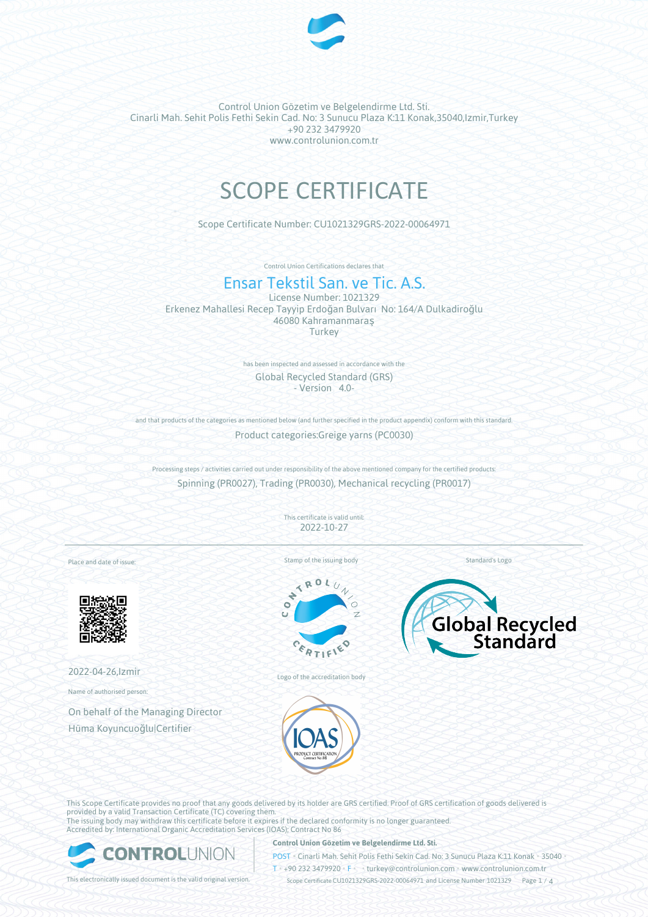

# SCOPE CERTIFICATE

Scope Certificate Number: CU1021329GRS-2022-00064971

Control Union Certifications declares that

## Ensar Tekstil San. ve Tic. A.S.

License Number: 1021329 Erkenez Mahallesi Recep Tayyip Erdoğan Bulvarı No: 164/A Dulkadiroğlu 46080 Kahramanmaraş **Turkey** 

> has been inspected and assessed in accordance with the Global Recycled Standard (GRS) - Version 4.0-

and that products of the categories as mentioned below (and further specified in the product appendix) conform with this standard. Product categories:Greige yarns (PC0030)

Processing steps / activities carried out under responsibility of the above mentioned company for the certified products: Spinning (PR0027), Trading (PR0030), Mechanical recycling (PR0017)

> This certificate is valid until: 2022-10-27

Place and date of issue:



2022-04-26,Izmir

Name of authorised person:

On behalf of the Managing Director Hüma Koyuncuoğlu|Certifier

Stamp of the issuing body

R ÷  $\bullet$ 





Logo of the accreditation body

This Scope Certificate provides no proof that any goods delivered by its holder are GRS certified. Proof of GRS certification of goods delivered is provided by a valid Transaction Certificate (TC) covering them. The issuing body may withdraw this certificate before it expires if the declared conformity is no longer guaranteed. Accredited by: International Organic Accreditation Services (IOAS); Contract No 86



#### **Control Union Gözetim ve Belgelendirme Ltd. Sti.**

POST • Cinarli Mah. Sehit Polis Fethi Sekin Cad. No: 3 Sunucu Plaza K:11 Konak • 35040 • T • +90 232 3479920 • F • turkey@controlunion.com • www.controlunion.com.tr

This electronically issued document is the valid original version. Scope Certificate CU1021329GRS-2022-00064971 and License Number 1021329 Page 1 / 4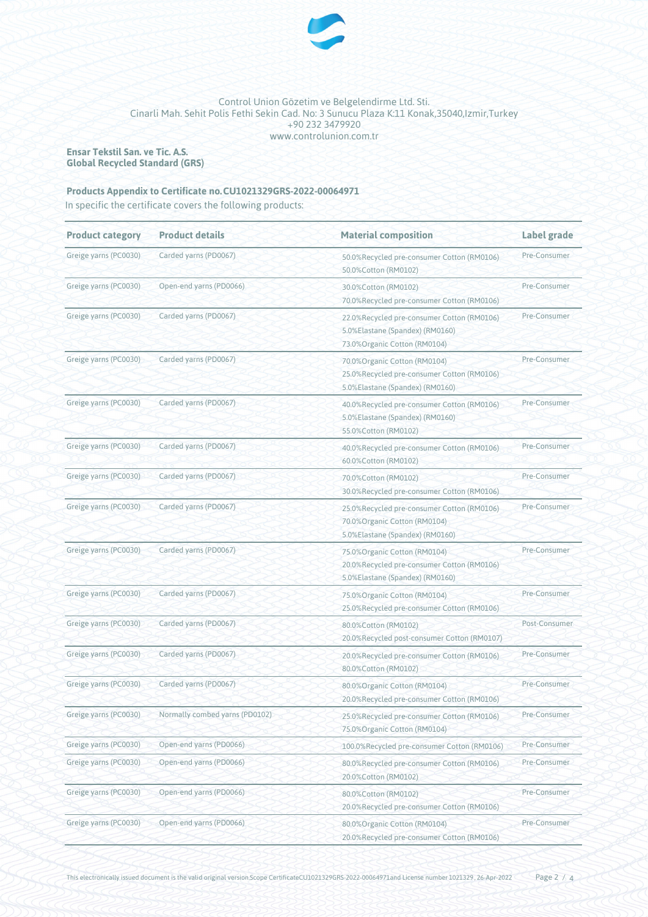

**Ensar Tekstil San. ve Tic. A.S. Global Recycled Standard (GRS)**

### **Products Appendix to Certificate no.CU1021329GRS-2022-00064971**

In specific the certificate covers the following products:

| <b>Product category</b> | <b>Product details</b>         | <b>Material composition</b>                                                                                    | Label grade   |  |
|-------------------------|--------------------------------|----------------------------------------------------------------------------------------------------------------|---------------|--|
| Greige yarns (PC0030)   | Carded yarns (PD0067)          | 50.0%Recycled pre-consumer Cotton (RM0106)<br>50.0%Cotton (RM0102)                                             | Pre-Consumer  |  |
| Greige yarns (PC0030)   | Open-end yarns (PD0066)        | 30.0%Cotton (RM0102)<br>70.0%Recycled pre-consumer Cotton (RM0106)                                             | Pre-Consumer  |  |
| Greige yarns (PC0030)   | Carded yarns (PD0067)          | 22.0%Recycled pre-consumer Cotton (RM0106)<br>5.0%Elastane (Spandex) (RM0160)<br>73.0% Organic Cotton (RM0104) | Pre-Consumer  |  |
| Greige yarns (PC0030)   | Carded yarns (PD0067)          | 70.0% Organic Cotton (RM0104)<br>25.0%Recycled pre-consumer Cotton (RM0106)<br>5.0%Elastane (Spandex) (RM0160) | Pre-Consumer  |  |
| Greige yarns (PC0030)   | Carded yarns (PD0067)          | 40.0%Recycled pre-consumer Cotton (RM0106)<br>5.0%Elastane (Spandex) (RM0160)<br>55.0%Cotton (RM0102)          | Pre-Consumer  |  |
| Greige yarns (PC0030)   | Carded yarns (PD0067)          | 40.0%Recycled pre-consumer Cotton (RM0106)<br>60.0%Cotton (RM0102)                                             | Pre-Consumer  |  |
| Greige yarns (PC0030)   | Carded yarns (PD0067)          | 70.0%Cotton (RM0102)<br>30.0%Recycled pre-consumer Cotton (RM0106)                                             | Pre-Consumer  |  |
| Greige yarns (PC0030)   | Carded yarns (PD0067)          | 25.0%Recycled pre-consumer Cotton (RM0106)<br>70.0% Organic Cotton (RM0104)<br>5.0%Elastane (Spandex) (RM0160) | Pre-Consumer  |  |
| Greige yarns (PC0030)   | Carded yarns (PD0067)          | 75.0% Organic Cotton (RM0104)<br>20.0%Recycled pre-consumer Cotton (RM0106)<br>5.0%Elastane (Spandex) (RM0160) | Pre-Consumer  |  |
| Greige yarns (PC0030)   | Carded yarns (PD0067)          | 75.0% Organic Cotton (RM0104)<br>25.0%Recycled pre-consumer Cotton (RM0106)                                    | Pre-Consumer  |  |
| Greige yarns (PC0030)   | Carded yarns (PD0067)          | 80.0%Cotton (RM0102)<br>20.0%Recycled post-consumer Cotton (RM0107)                                            | Post-Consumer |  |
| Greige yarns (PC0030)   | Carded yarns (PD0067)          | 20.0%Recycled pre-consumer Cotton (RM0106)<br>80.0%Cotton (RM0102)                                             | Pre-Consumer  |  |
| Greige yarns (PC0030)   | Carded yarns (PD0067)          | 80.0% Organic Cotton (RM0104)<br>20.0%Recycled pre-consumer Cotton (RM0106)                                    | Pre-Consumer  |  |
| Greige yarns (PC0030)   | Normally combed yarns (PD0102) | 25.0%Recycled pre-consumer Cotton (RM0106)<br>75.0%Organic Cotton (RM0104)                                     | Pre-Consumer  |  |
| Greige yarns (PC0030)   | Open-end yarns (PD0066)        | 100.0%Recycled pre-consumer Cotton (RM0106)                                                                    | Pre-Consumer  |  |
| Greige yarns (PC0030)   | Open-end yarns (PD0066)        | 80.0%Recycled pre-consumer Cotton (RM0106)<br>20.0%Cotton (RM0102)                                             | Pre-Consumer  |  |
| Greige yarns (PC0030)   | Open-end yarns (PD0066)        | 80.0%Cotton (RM0102)<br>20.0%Recycled pre-consumer Cotton (RM0106)                                             | Pre-Consumer  |  |
| Greige yarns (PC0030)   | Open-end yarns (PD0066)        | Pre-Consumer<br>80.0%Organic Cotton (RM0104)<br>20.0%Recycled pre-consumer Cotton (RM0106)                     |               |  |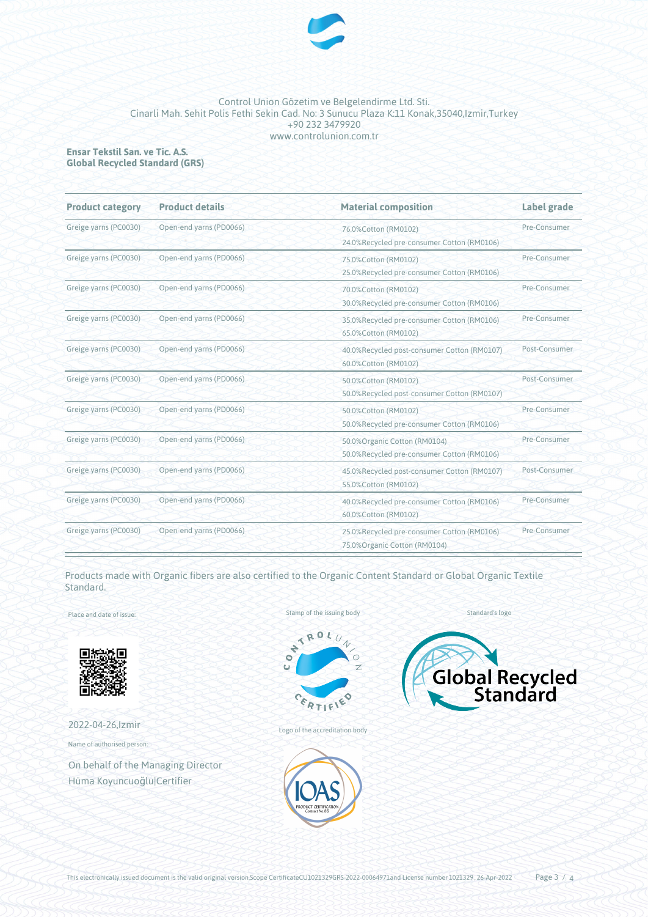

#### **Ensar Tekstil San. ve Tic. A.S. Global Recycled Standard (GRS)**

| <b>Product category</b> | <b>Product details</b>  | <b>Material composition</b>                                                | Label grade<br>Pre-Consumer |
|-------------------------|-------------------------|----------------------------------------------------------------------------|-----------------------------|
| Greige yarns (PC0030)   | Open-end yarns (PD0066) | 76.0%Cotton (RM0102)<br>24.0%Recycled pre-consumer Cotton (RM0106)         |                             |
| Greige yarns (PC0030)   | Open-end yarns (PD0066) | 75.0%Cotton (RM0102)<br>25.0%Recycled pre-consumer Cotton (RM0106)         | Pre-Consumer                |
| Greige yarns (PC0030)   | Open-end yarns (PD0066) | 70.0%Cotton (RM0102)<br>30.0%Recycled pre-consumer Cotton (RM0106)         | Pre-Consumer                |
| Greige yarns (PC0030)   | Open-end yarns (PD0066) | 35.0%Recycled pre-consumer Cotton (RM0106)<br>65.0%Cotton (RM0102)         | Pre-Consumer                |
| Greige yarns (PC0030)   | Open-end yarns (PD0066) | 40.0%Recycled post-consumer Cotton (RM0107)<br>60.0%Cotton (RM0102)        | Post-Consumer               |
| Greige yarns (PC0030)   | Open-end yarns (PD0066) | 50.0%Cotton (RM0102)<br>50.0%Recycled post-consumer Cotton (RM0107)        | Post-Consumer               |
| Greige yarns (PC0030)   | Open-end yarns (PD0066) | 50.0%Cotton (RM0102)<br>50.0%Recycled pre-consumer Cotton (RM0106)         | Pre-Consumer                |
| Greige yarns (PC0030)   | Open-end yarns (PD0066) | 50.0%Organic Cotton (RM0104)<br>50.0%Recycled pre-consumer Cotton (RM0106) | Pre-Consumer                |
| Greige yarns (PC0030)   | Open-end yarns (PD0066) | 45.0%Recycled post-consumer Cotton (RM0107)<br>55.0%Cotton (RM0102)        | Post-Consumer               |
| Greige yarns (PC0030)   | Open-end yarns (PD0066) | 40.0%Recycled pre-consumer Cotton (RM0106)<br>60.0%Cotton (RM0102)         | Pre-Consumer                |
| Greige yarns (PC0030)   | Open-end yarns (PD0066) | 25.0%Recycled pre-consumer Cotton (RM0106)<br>75.0%Organic Cotton (RM0104) | Pre-Consumer                |

Products made with Organic fibers are also certified to the Organic Content Standard or Global Organic Textile Standard.

Place and date of issue:



2022-04-26,Izmir

Name of authorised person:

On behalf of the Managing Director Hüma Koyuncuoğlu|Certifier





Logo of the accreditation body



Standard's logo